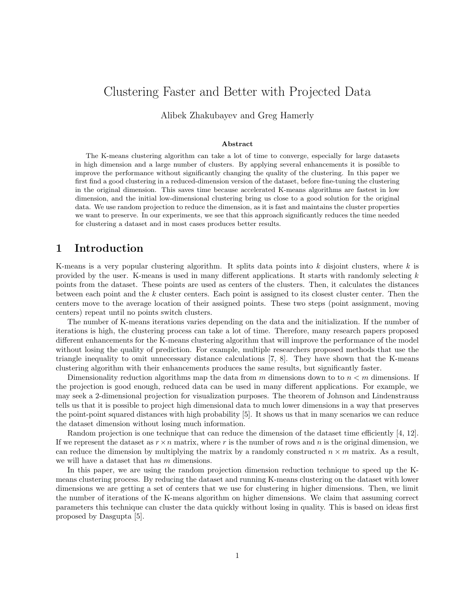# Clustering Faster and Better with Projected Data

Alibek Zhakubayev and Greg Hamerly

#### Abstract

The K-means clustering algorithm can take a lot of time to converge, especially for large datasets in high dimension and a large number of clusters. By applying several enhancements it is possible to improve the performance without significantly changing the quality of the clustering. In this paper we first find a good clustering in a reduced-dimension version of the dataset, before fine-tuning the clustering in the original dimension. This saves time because accelerated K-means algorithms are fastest in low dimension, and the initial low-dimensional clustering bring us close to a good solution for the original data. We use random projection to reduce the dimension, as it is fast and maintains the cluster properties we want to preserve. In our experiments, we see that this approach significantly reduces the time needed for clustering a dataset and in most cases produces better results.

# 1 Introduction

K-means is a very popular clustering algorithm. It splits data points into  $k$  disjoint clusters, where  $k$  is provided by the user. K-means is used in many different applications. It starts with randomly selecting k points from the dataset. These points are used as centers of the clusters. Then, it calculates the distances between each point and the k cluster centers. Each point is assigned to its closest cluster center. Then the centers move to the average location of their assigned points. These two steps (point assignment, moving centers) repeat until no points switch clusters.

The number of K-means iterations varies depending on the data and the initialization. If the number of iterations is high, the clustering process can take a lot of time. Therefore, many research papers proposed different enhancements for the K-means clustering algorithm that will improve the performance of the model without losing the quality of prediction. For example, multiple researchers proposed methods that use the triangle inequality to omit unnecessary distance calculations [7, 8]. They have shown that the K-means clustering algorithm with their enhancements produces the same results, but significantly faster.

Dimensionality reduction algorithms map the data from  $m$  dimensions down to to  $n < m$  dimensions. If the projection is good enough, reduced data can be used in many different applications. For example, we may seek a 2-dimensional projection for visualization purposes. The theorem of Johnson and Lindenstrauss tells us that it is possible to project high dimensional data to much lower dimensions in a way that preserves the point-point squared distances with high probability [5]. It shows us that in many scenarios we can reduce the dataset dimension without losing much information.

Random projection is one technique that can reduce the dimension of the dataset time efficiently [4, 12]. If we represent the dataset as  $r \times n$  matrix, where r is the number of rows and n is the original dimension, we can reduce the dimension by multiplying the matrix by a randomly constructed  $n \times m$  matrix. As a result, we will have a dataset that has m dimensions.

In this paper, we are using the random projection dimension reduction technique to speed up the Kmeans clustering process. By reducing the dataset and running K-means clustering on the dataset with lower dimensions we are getting a set of centers that we use for clustering in higher dimensions. Then, we limit the number of iterations of the K-means algorithm on higher dimensions. We claim that assuming correct parameters this technique can cluster the data quickly without losing in quality. This is based on ideas first proposed by Dasgupta [5].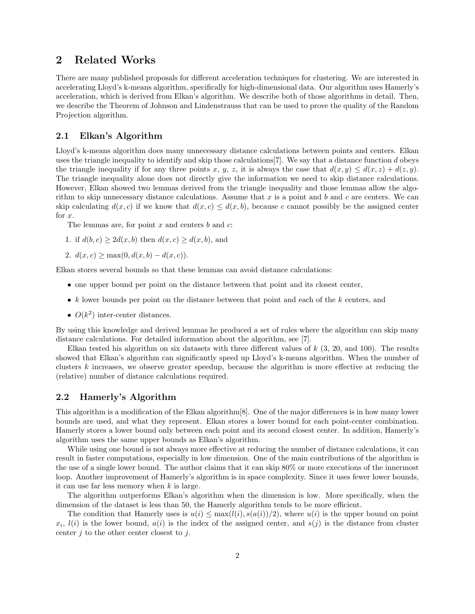# 2 Related Works

There are many published proposals for different acceleration techniques for clustering. We are interested in accelerating Lloyd's k-means algorithm, specifically for high-dimensional data. Our algorithm uses Hamerly's acceleration, which is derived from Elkan's algorithm. We describe both of those algorithms in detail. Then, we describe the Theorem of Johnson and Lindenstrauss that can be used to prove the quality of the Random Projection algorithm.

#### 2.1 Elkan's Algorithm

Lloyd's k-means algorithm does many unnecessary distance calculations between points and centers. Elkan uses the triangle inequality to identify and skip those calculations  $[7]$ . We say that a distance function d obeys the triangle inequality if for any three points x, y, z, it is always the case that  $d(x, y) \leq d(x, z) + d(z, y)$ . The triangle inequality alone does not directly give the information we need to skip distance calculations. However, Elkan showed two lemmas derived from the triangle inequality and those lemmas allow the algorithm to skip unnecessary distance calculations. Assume that  $x$  is a point and  $b$  and  $c$  are centers. We can skip calculating  $d(x, c)$  if we know that  $d(x, c) \leq d(x, b)$ , because c cannot possibly be the assigned center for x.

The lemmas are, for point  $x$  and centers  $b$  and  $c$ :

- 1. if  $d(b, c) \geq 2d(x, b)$  then  $d(x, c) \geq d(x, b)$ , and
- 2.  $d(x, c) \ge \max(0, d(x, b) d(x, c)).$

Elkan stores several bounds so that these lemmas can avoid distance calculations:

- one upper bound per point on the distance between that point and its closest center,
- $k$  lower bounds per point on the distance between that point and each of the  $k$  centers, and
- $O(k^2)$  inter-center distances.

By using this knowledge and derived lemmas he produced a set of rules where the algorithm can skip many distance calculations. For detailed information about the algorithm, see [7].

Elkan tested his algorithm on six datasets with three different values of  $k$  (3, 20, and 100). The results showed that Elkan's algorithm can significantly speed up Lloyd's k-means algorithm. When the number of clusters k increases, we observe greater speedup, because the algorithm is more effective at reducing the (relative) number of distance calculations required.

#### 2.2 Hamerly's Algorithm

This algorithm is a modification of the Elkan algorithm[8]. One of the major differences is in how many lower bounds are used, and what they represent. Elkan stores a lower bound for each point-center combination. Hamerly stores a lower bound only between each point and its second closest center. In addition, Hamerly's algorithm uses the same upper bounds as Elkan's algorithm.

While using one bound is not always more effective at reducing the number of distance calculations, it can result in faster computations, especially in low dimension. One of the main contributions of the algorithm is the use of a single lower bound. The author claims that it can skip 80% or more executions of the innermost loop. Another improvement of Hamerly's algorithm is in space complexity. Since it uses fewer lower bounds, it can use far less memory when  $k$  is large.

The algorithm outperforms Elkan's algorithm when the dimension is low. More specifically, when the dimension of the dataset is less than 50, the Hamerly algorithm tends to be more efficient.

The condition that Hamerly uses is  $u(i) \leq \max(l(i), s(a(i))/2)$ , where  $u(i)$  is the upper bound on point  $x_i$ ,  $l(i)$  is the lower bound,  $a(i)$  is the index of the assigned center, and  $s(j)$  is the distance from cluster center  $i$  to the other center closest to  $i$ .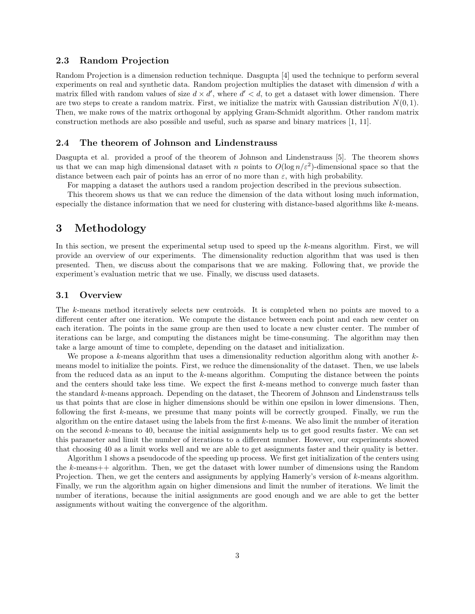#### 2.3 Random Projection

Random Projection is a dimension reduction technique. Dasgupta [4] used the technique to perform several experiments on real and synthetic data. Random projection multiplies the dataset with dimension d with a matrix filled with random values of size  $d \times d'$ , where  $d' < d$ , to get a dataset with lower dimension. There are two steps to create a random matrix. First, we initialize the matrix with Gaussian distribution  $N(0, 1)$ . Then, we make rows of the matrix orthogonal by applying Gram-Schmidt algorithm. Other random matrix construction methods are also possible and useful, such as sparse and binary matrices [1, 11].

#### 2.4 The theorem of Johnson and Lindenstrauss

Dasgupta et al. provided a proof of the theorem of Johnson and Lindenstrauss [5]. The theorem shows us that we can map high dimensional dataset with n points to  $O(\log n/\varepsilon^2)$ -dimensional space so that the distance between each pair of points has an error of no more than  $\varepsilon$ , with high probability.

For mapping a dataset the authors used a random projection described in the previous subsection.

This theorem shows us that we can reduce the dimension of the data without losing much information, especially the distance information that we need for clustering with distance-based algorithms like k-means.

### 3 Methodology

In this section, we present the experimental setup used to speed up the k-means algorithm. First, we will provide an overview of our experiments. The dimensionality reduction algorithm that was used is then presented. Then, we discuss about the comparisons that we are making. Following that, we provide the experiment's evaluation metric that we use. Finally, we discuss used datasets.

#### 3.1 Overview

The k-means method iteratively selects new centroids. It is completed when no points are moved to a different center after one iteration. We compute the distance between each point and each new center on each iteration. The points in the same group are then used to locate a new cluster center. The number of iterations can be large, and computing the distances might be time-consuming. The algorithm may then take a large amount of time to complete, depending on the dataset and initialization.

We propose a k-means algorithm that uses a dimensionality reduction algorithm along with another  $k$ means model to initialize the points. First, we reduce the dimensionality of the dataset. Then, we use labels from the reduced data as an input to the k-means algorithm. Computing the distance between the points and the centers should take less time. We expect the first k-means method to converge much faster than the standard k-means approach. Depending on the dataset, the Theorem of Johnson and Lindenstrauss tells us that points that are close in higher dimensions should be within one epsilon in lower dimensions. Then, following the first k-means, we presume that many points will be correctly grouped. Finally, we run the algorithm on the entire dataset using the labels from the first k-means. We also limit the number of iteration on the second  $k$ -means to 40, because the initial assignments help us to get good results faster. We can set this parameter and limit the number of iterations to a different number. However, our experiments showed that choosing 40 as a limit works well and we are able to get assignments faster and their quality is better.

Algorithm 1 shows a pseudocode of the speeding up process. We first get initialization of the centers using the k-means++ algorithm. Then, we get the dataset with lower number of dimensions using the Random Projection. Then, we get the centers and assignments by applying Hamerly's version of k-means algorithm. Finally, we run the algorithm again on higher dimensions and limit the number of iterations. We limit the number of iterations, because the initial assignments are good enough and we are able to get the better assignments without waiting the convergence of the algorithm.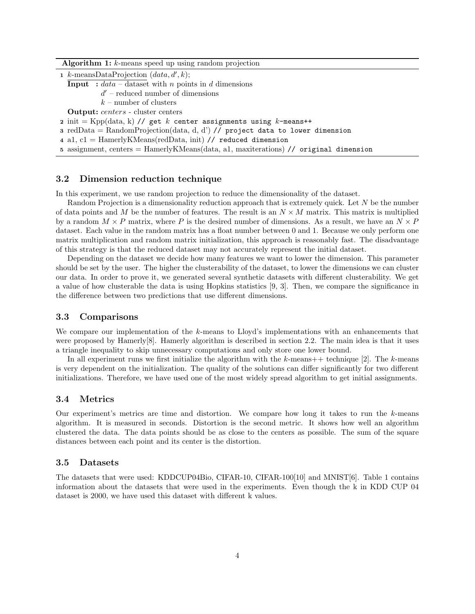Algorithm 1: k-means speed up using random projection

1 k-meansDataProjection  $(data, d', k);$ 

**Input**  $idata - data$  with n points in d dimensions

 $d'$  – reduced number of dimensions

 $k$  – number of clusters

Output: centers - cluster centers

2 init = Kpp(data, k) // get k center assignments using k-means++

3 redData = RandomProjection(data, d, d') // project data to lower dimension

4 a1,  $c1 =$  HamerlyKMeans(redData, init) // reduced dimension

<sup>5</sup> assignment, centers = HamerlyKMeans(data, a1, maxiterations) // original dimension

#### 3.2 Dimension reduction technique

In this experiment, we use random projection to reduce the dimensionality of the dataset.

Random Projection is a dimensionality reduction approach that is extremely quick. Let N be the number of data points and M be the number of features. The result is an  $N \times M$  matrix. This matrix is multiplied by a random  $M \times P$  matrix, where P is the desired number of dimensions. As a result, we have an  $N \times P$ dataset. Each value in the random matrix has a float number between 0 and 1. Because we only perform one matrix multiplication and random matrix initialization, this approach is reasonably fast. The disadvantage of this strategy is that the reduced dataset may not accurately represent the initial dataset.

Depending on the dataset we decide how many features we want to lower the dimension. This parameter should be set by the user. The higher the clusterability of the dataset, to lower the dimensions we can cluster our data. In order to prove it, we generated several synthetic datasets with different clusterability. We get a value of how clusterable the data is using Hopkins statistics [9, 3]. Then, we compare the significance in the difference between two predictions that use different dimensions.

#### 3.3 Comparisons

We compare our implementation of the k-means to Lloyd's implementations with an enhancements that were proposed by Hamerly $[8]$ . Hamerly algorithm is described in section 2.2. The main idea is that it uses a triangle inequality to skip unnecessary computations and only store one lower bound.

In all experiment runs we first initialize the algorithm with the k-means++ technique [2]. The k-means is very dependent on the initialization. The quality of the solutions can differ significantly for two different initializations. Therefore, we have used one of the most widely spread algorithm to get initial assignments.

#### 3.4 Metrics

Our experiment's metrics are time and distortion. We compare how long it takes to run the  $k$ -means algorithm. It is measured in seconds. Distortion is the second metric. It shows how well an algorithm clustered the data. The data points should be as close to the centers as possible. The sum of the square distances between each point and its center is the distortion.

#### 3.5 Datasets

The datasets that were used: KDDCUP04Bio, CIFAR-10, CIFAR-100[10] and MNIST[6]. Table 1 contains information about the datasets that were used in the experiments. Even though the k in KDD CUP 04 dataset is 2000, we have used this dataset with different k values.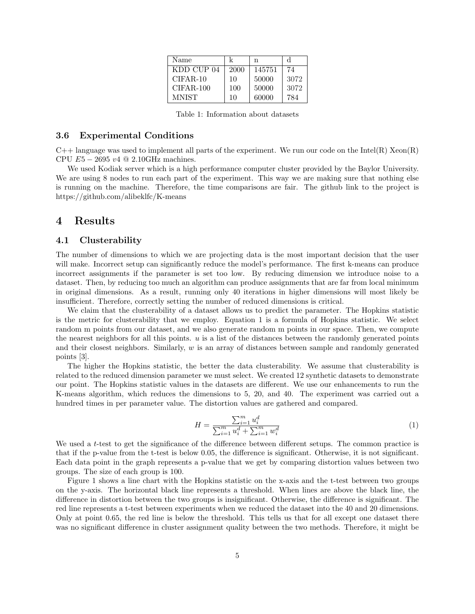| Name         |      | n      |      |
|--------------|------|--------|------|
| KDD CUP 04   | 2000 | 145751 | 74   |
| $CIFAR-10$   | 10   | 50000  | 3072 |
| $CIFAR-100$  | 100  | 50000  | 3072 |
| <b>MNIST</b> | 10   | 60000  | 784  |

Table 1: Information about datasets

#### 3.6 Experimental Conditions

 $C++$  language was used to implement all parts of the experiment. We run our code on the Intel(R) Xeon(R) CPU  $E5 - 2695 v4 \text{ Q } 2.10 \text{ GHz machines.}$ 

We used Kodiak server which is a high performance computer cluster provided by the Baylor University. We are using 8 nodes to run each part of the experiment. This way we are making sure that nothing else is running on the machine. Therefore, the time comparisons are fair. The github link to the project is https://github.com/alibeklfc/K-means

# 4 Results

#### 4.1 Clusterability

The number of dimensions to which we are projecting data is the most important decision that the user will make. Incorrect setup can significantly reduce the model's performance. The first k-means can produce incorrect assignments if the parameter is set too low. By reducing dimension we introduce noise to a dataset. Then, by reducing too much an algorithm can produce assignments that are far from local minimum in original dimensions. As a result, running only 40 iterations in higher dimensions will most likely be insufficient. Therefore, correctly setting the number of reduced dimensions is critical.

We claim that the clusterability of a dataset allows us to predict the parameter. The Hopkins statistic is the metric for clusterability that we employ. Equation 1 is a formula of Hopkins statistic. We select random m points from our dataset, and we also generate random m points in our space. Then, we compute the nearest neighbors for all this points.  $u$  is a list of the distances between the randomly generated points and their closest neighbors. Similarly,  $w$  is an array of distances between sample and randomly generated points [3].

The higher the Hopkins statistic, the better the data clusterability. We assume that clusterability is related to the reduced dimension parameter we must select. We created 12 synthetic datasets to demonstrate our point. The Hopkins statistic values in the datasets are different. We use our enhancements to run the K-means algorithm, which reduces the dimensions to 5, 20, and 40. The experiment was carried out a hundred times in per parameter value. The distortion values are gathered and compared.

$$
H = \frac{\sum_{i=1}^{m} u_i^d}{\sum_{i=1}^{m} u_i^d + \sum_{i=1}^{m} w_i^d}
$$
(1)

We used a t-test to get the significance of the difference between different setups. The common practice is that if the p-value from the t-test is below 0.05, the difference is significant. Otherwise, it is not significant. Each data point in the graph represents a p-value that we get by comparing distortion values between two groups. The size of each group is 100.

Figure 1 shows a line chart with the Hopkins statistic on the x-axis and the t-test between two groups on the y-axis. The horizontal black line represents a threshold. When lines are above the black line, the difference in distortion between the two groups is insignificant. Otherwise, the difference is significant. The red line represents a t-test between experiments when we reduced the dataset into the 40 and 20 dimensions. Only at point 0.65, the red line is below the threshold. This tells us that for all except one dataset there was no significant difference in cluster assignment quality between the two methods. Therefore, it might be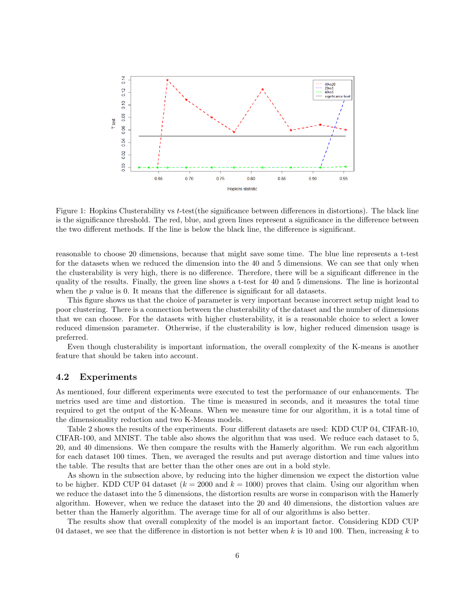

Figure 1: Hopkins Clusterability vs t-test(the significance between differences in distortions). The black line is the significance threshold. The red, blue, and green lines represent a significance in the difference between the two different methods. If the line is below the black line, the difference is significant.

reasonable to choose 20 dimensions, because that might save some time. The blue line represents a t-test for the datasets when we reduced the dimension into the 40 and 5 dimensions. We can see that only when the clusterability is very high, there is no difference. Therefore, there will be a significant difference in the quality of the results. Finally, the green line shows a t-test for 40 and 5 dimensions. The line is horizontal when the  $p$  value is 0. It means that the difference is significant for all datasets.

This figure shows us that the choice of parameter is very important because incorrect setup might lead to poor clustering. There is a connection between the clusterability of the dataset and the number of dimensions that we can choose. For the datasets with higher clusterability, it is a reasonable choice to select a lower reduced dimension parameter. Otherwise, if the clusterability is low, higher reduced dimension usage is preferred.

Even though clusterability is important information, the overall complexity of the K-means is another feature that should be taken into account.

#### 4.2 Experiments

As mentioned, four different experiments were executed to test the performance of our enhancements. The metrics used are time and distortion. The time is measured in seconds, and it measures the total time required to get the output of the K-Means. When we measure time for our algorithm, it is a total time of the dimensionality reduction and two K-Means models.

Table 2 shows the results of the experiments. Four different datasets are used: KDD CUP 04, CIFAR-10, CIFAR-100, and MNIST. The table also shows the algorithm that was used. We reduce each dataset to 5, 20, and 40 dimensions. We then compare the results with the Hamerly algorithm. We run each algorithm for each dataset 100 times. Then, we averaged the results and put average distortion and time values into the table. The results that are better than the other ones are out in a bold style.

As shown in the subsection above, by reducing into the higher dimension we expect the distortion value to be higher. KDD CUP 04 dataset  $(k = 2000 \text{ and } k = 1000)$  proves that claim. Using our algorithm when we reduce the dataset into the 5 dimensions, the distortion results are worse in comparison with the Hamerly algorithm. However, when we reduce the dataset into the 20 and 40 dimensions, the distortion values are better than the Hamerly algorithm. The average time for all of our algorithms is also better.

The results show that overall complexity of the model is an important factor. Considering KDD CUP 04 dataset, we see that the difference in distortion is not better when k is 10 and 100. Then, increasing k to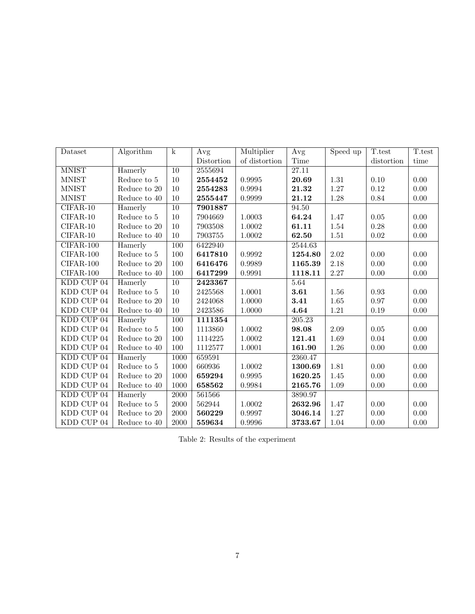| Dataset      | Algorithm       | $\mathbf k$      | Avg        | Multiplier    | $\overline{A}vg$ | Speed up | T.test     | T.test   |
|--------------|-----------------|------------------|------------|---------------|------------------|----------|------------|----------|
|              |                 |                  | Distortion | of distortion | Time             |          | distortion | time     |
| <b>MNIST</b> | Hamerly         | $\overline{10}$  | 2555694    |               | 27.11            |          |            |          |
| <b>MNIST</b> | Reduce to $5\,$ | 10               | 2554452    | 0.9995        | 20.69            | 1.31     | 0.10       | 0.00     |
| <b>MNIST</b> | Reduce to 20    | 10               | 2554283    | 0.9994        | 21.32            | 1.27     | 0.12       | 0.00     |
| <b>MNIST</b> | Reduce to 40    | 10               | 2555447    | 0.9999        | 21.12            | 1.28     | 0.84       | 0.00     |
| CIFAR-10     | Hamerly         | 10               | 7901887    |               | 94.50            |          |            |          |
| CIFAR-10     | Reduce to $5$   | 10               | 7904669    | 1.0003        | 64.24            | 1.47     | $0.05\,$   | 0.00     |
| $CIFAR-10$   | Reduce to $20$  | 10               | 7903508    | 1.0002        | 61.11            | 1.54     | 0.28       | 0.00     |
| CIFAR-10     | Reduce to 40    | 10               | 7903755    | 1.0002        | 62.50            | $1.51\,$ | $0.02\,$   | 0.00     |
| $CIFAR-100$  | Hamerly         | $\overline{100}$ | 6422940    |               | 2544.63          |          |            |          |
| CIFAR-100    | Reduce to $5\,$ | 100              | 6417810    | 0.9992        | 1254.80          | 2.02     | 0.00       | 0.00     |
| CIFAR-100    | Reduce to 20    | 100              | 6416476    | 0.9989        | 1165.39          | 2.18     | 0.00       | 0.00     |
| $CIFAR-100$  | Reduce to $40$  | 100              | 6417299    | 0.9991        | 1118.11          | $2.27\,$ | 0.00       | 0.00     |
| KDD CUP 04   | Hamerly         | $\overline{10}$  | 2423367    |               | 5.64             |          |            |          |
| KDD CUP 04   | Reduce to 5     | 10               | 2425568    | 1.0001        | 3.61             | 1.56     | 0.93       | 0.00     |
| KDD CUP 04   | Reduce to 20    | 10               | 2424068    | 1.0000        | 3.41             | 1.65     | 0.97       | 0.00     |
| KDD CUP 04   | Reduce to 40    | 10               | 2423586    | 1.0000        | 4.64             | 1.21     | $0.19\,$   | $0.00\,$ |
| KDD CUP 04   | Hamerly         | $\overline{100}$ | 1111354    |               | 205.23           |          |            |          |
| KDD CUP 04   | Reduce to 5     | 100              | 1113860    | 1.0002        | 98.08            | 2.09     | 0.05       | 0.00     |
| KDD CUP 04   | Reduce to 20    | 100              | 1114225    | 1.0002        | 121.41           | 1.69     | 0.04       | 0.00     |
| KDD CUP 04   | Reduce to 40    | 100              | 1112577    | 1.0001        | 161.90           | 1.26     | 0.00       | 0.00     |
| KDD CUP 04   | Hamerly         | 1000             | 659591     |               | 2360.47          |          |            |          |
| KDD CUP 04   | Reduce to 5     | 1000             | 660936     | 1.0002        | 1300.69          | 1.81     | 0.00       | 0.00     |
| KDD CUP 04   | Reduce to 20    | 1000             | 659294     | $\,0.9995\,$  | 1620.25          | 1.45     | 0.00       | $0.00\,$ |
| KDD CUP 04   | Reduce to 40    | 1000             | 658562     | 0.9984        | 2165.76          | 1.09     | 0.00       | 0.00     |
| KDD CUP 04   | Hamerly         | 2000             | 561566     |               | 3890.97          |          |            |          |
| KDD CUP 04   | Reduce to 5     | 2000             | 562944     | 1.0002        | 2632.96          | 1.47     | 0.00       | 0.00     |
| KDD CUP 04   | Reduce to 20    | 2000             | 560229     | 0.9997        | 3046.14          | 1.27     | 0.00       | 0.00     |
| KDD CUP 04   | Reduce to 40    | 2000             | 559634     | 0.9996        | 3733.67          | 1.04     | 0.00       | 0.00     |

Table 2: Results of the experiment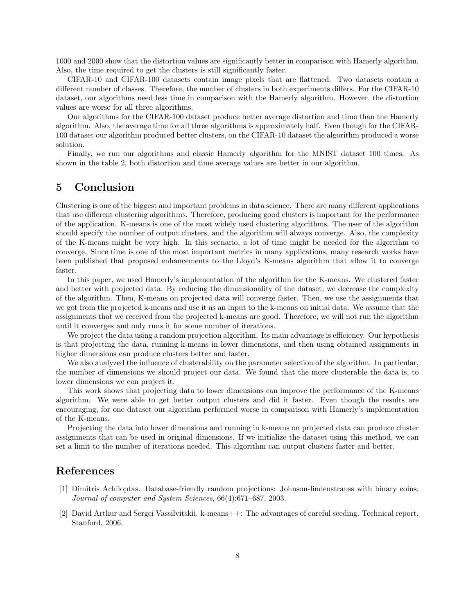1000 and 2000 show that the distortion values are significantly better in comparison with Hamerly algorithm. Also, the time required to get the clusters is still significantly faster.

CIFAR-10 and CIFAR-100 datasets contain image pixels that are flattened. Two datasets contain a different number of classes. Therefore, the number of clusters in both experiments differs. For the CIFAR-10 dataset, our algorithms need less time in comparison with the Hamerly algorithm. However, the distortion values are worse for all three algorithms.

Our algorithms for the CIFAR-100 dataset produce better average distortion and time than the Hamerly algorithm. Also, the average time for all three algorithms is approximately half. Even though for the CIFAR-100 dataset our algorithm produced better clusters, on the CIFAR-10 dataset the algorithm produced a worse solution.

Finally, we run our algorithms and classic Hamerly algorithm for the MNIST dataset 100 times. As shown in the table 2, both distortion and time average values are better in our algorithm.

# 5 Conclusion

Clustering is one of the biggest and important problems in data science. There are many different applications that use different clustering algorithms. Therefore, producing good clusters is important for the performance of the application. K-means is one of the most widely used clustering algorithms. The user of the algorithm should specify the number of output clusters, and the algorithm will always converge. Also, the complexity of the K-means might be very high. In this scenario, a lot of time might be needed for the algorithm to converge. Since time is one of the most important metrics in many applications, many research works have been published that proposed enhancements to the Lloyd's K-means algorithm that allow it to converge faster.

In this paper, we used Hamerly's implementation of the algorithm for the K-means. We clustered faster and better with projected data. By reducing the dimensionality of the dataset, we decrease the complexity of the algorithm. Then, K-means on projected data will converge faster. Then, we use the assignments that we got from the projected k-means and use it as an input to the k-means on initial data. We assume that the assignments that we received from the projected k-means are good. Therefore, we will not run the algorithm until it converges and only runs it for some number of iterations.

We project the data using a random projection algorithm. Its main advantage is efficiency. Our hypothesis is that projecting the data, running k-means in lower dimensions, and then using obtained assignments in higher dimensions can produce clusters better and faster.

We also analyzed the influence of clusterability on the parameter selection of the algorithm. In particular, the number of dimensions we should project our data. We found that the more clusterable the data is, to lower dimensions we can project it.

This work shows that projecting data to lower dimensions can improve the performance of the K-means algorithm. We were able to get better output clusters and did it faster. Even though the results are encouraging, for one dataset our algorithm performed worse in comparison with Hamerly's implementation of the K-means.

Projecting the data into lower dimensions and running in k-means on projected data can produce cluster assignments that can be used in original dimensions. If we initialize the dataset using this method, we can set a limit to the number of iterations needed. This algorithm can output clusters faster and better.

### References

- [1] Dimitris Achlioptas. Database-friendly random projections: Johnson-lindenstrauss with binary coins. Journal of computer and System Sciences, 66(4):671–687, 2003.
- [2] David Arthur and Sergei Vassilvitskii. k-means++: The advantages of careful seeding. Technical report, Stanford, 2006.